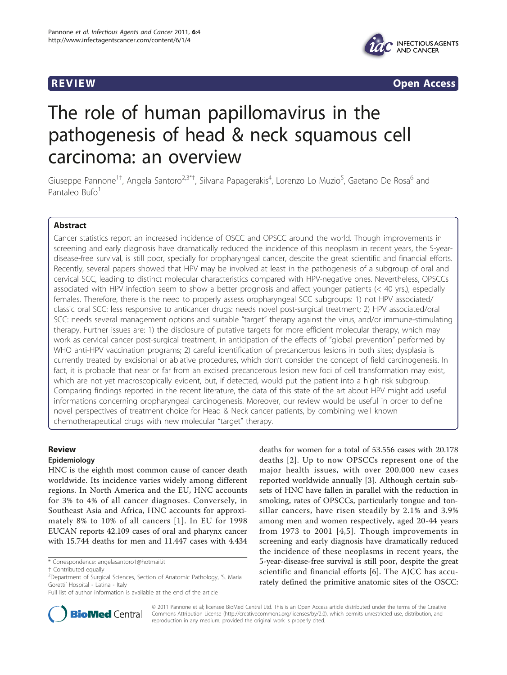

**REVIEW REVIEW CONSTRUCTER ACCESS** 

# The role of human papillomavirus in the pathogenesis of head & neck squamous cell carcinoma: an overview

Giuseppe Pannone<sup>1†</sup>, Angela Santoro<sup>2,3\*†</sup>, Silvana Papagerakis<sup>4</sup>, Lorenzo Lo Muzio<sup>5</sup>, Gaetano De Rosa<sup>6</sup> and Pantaleo Bufo<sup>1</sup>

# Abstract

Cancer statistics report an increased incidence of OSCC and OPSCC around the world. Though improvements in screening and early diagnosis have dramatically reduced the incidence of this neoplasm in recent years, the 5-yeardisease-free survival, is still poor, specially for oropharyngeal cancer, despite the great scientific and financial efforts. Recently, several papers showed that HPV may be involved at least in the pathogenesis of a subgroup of oral and cervical SCC, leading to distinct molecular characteristics compared with HPV-negative ones. Nevertheless, OPSCCs associated with HPV infection seem to show a better prognosis and affect younger patients (< 40 yrs.), especially females. Therefore, there is the need to properly assess oropharyngeal SCC subgroups: 1) not HPV associated/ classic oral SCC: less responsive to anticancer drugs: needs novel post-surgical treatment; 2) HPV associated/oral SCC: needs several management options and suitable "target" therapy against the virus, and/or immune-stimulating therapy. Further issues are: 1) the disclosure of putative targets for more efficient molecular therapy, which may work as cervical cancer post-surgical treatment, in anticipation of the effects of "global prevention" performed by WHO anti-HPV vaccination programs; 2) careful identification of precancerous lesions in both sites; dysplasia is currently treated by excisional or ablative procedures, which don't consider the concept of field carcinogenesis. In fact, it is probable that near or far from an excised precancerous lesion new foci of cell transformation may exist, which are not yet macroscopically evident, but, if detected, would put the patient into a high risk subgroup. Comparing findings reported in the recent literature, the data of this state of the art about HPV might add useful informations concerning oropharyngeal carcinogenesis. Moreover, our review would be useful in order to define novel perspectives of treatment choice for Head & Neck cancer patients, by combining well known chemotherapeutical drugs with new molecular "target" therapy.

# Review

#### Epidemiology

HNC is the eighth most common cause of cancer death worldwide. Its incidence varies widely among different regions. In North America and the EU, HNC accounts for 3% to 4% of all cancer diagnoses. Conversely, in Southeast Asia and Africa, HNC accounts for approximately 8% to 10% of all cancers [[1](#page-8-0)]. In EU for 1998 EUCAN reports 42.109 cases of oral and pharynx cancer with 15.744 deaths for men and 11.447 cases with 4.434

deaths for women for a total of 53.556 cases with 20.178 deaths [[2\]](#page-8-0). Up to now OPSCCs represent one of the major health issues, with over 200.000 new cases reported worldwide annually [[3](#page-8-0)]. Although certain subsets of HNC have fallen in parallel with the reduction in smoking, rates of OPSCCs, particularly tongue and tonsillar cancers, have risen steadily by 2.1% and 3.9% among men and women respectively, aged 20-44 years from 1973 to 2001 [[4](#page-8-0),[5](#page-8-0)]. Though improvements in screening and early diagnosis have dramatically reduced the incidence of these neoplasms in recent years, the 5-year-disease-free survival is still poor, despite the great scientific and financial efforts [\[6](#page-8-0)]. The AJCC has accurately defined the primitive anatomic sites of the OSCC:



© 2011 Pannone et al; licensee BioMed Central Ltd. This is an Open Access article distributed under the terms of the Creative Commons Attribution License [\(http://creativecommons.org/licenses/by/2.0](http://creativecommons.org/licenses/by/2.0)), which permits unrestricted use, distribution, and reproduction in any medium, provided the original work is properly cited.

<sup>\*</sup> Correspondence: [angelasantoro1@hotmail.it](mailto:angelasantoro1@hotmail.it)

<sup>†</sup> Contributed equally <sup>2</sup>

Department of Surgical Sciences, Section of Anatomic Pathology, 'S. Maria Goretti' Hospital - Latina - Italy

Full list of author information is available at the end of the article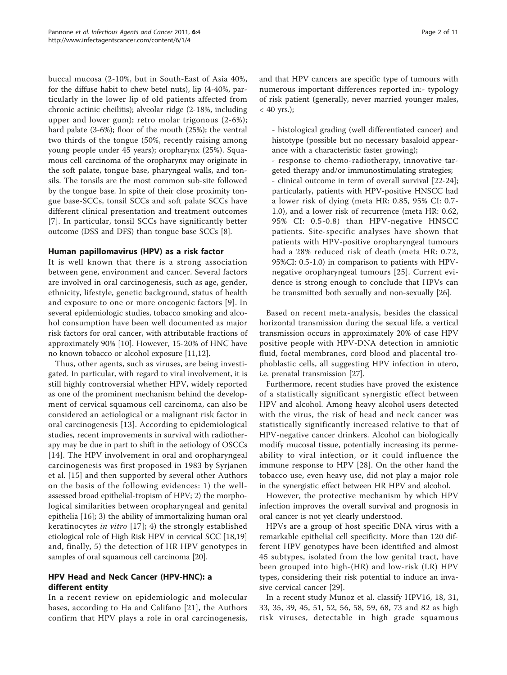buccal mucosa (2-10%, but in South-East of Asia 40%, for the diffuse habit to chew betel nuts), lip (4-40%, particularly in the lower lip of old patients affected from chronic actinic cheilitis); alveolar ridge (2-18%, including upper and lower gum); retro molar trigonous (2-6%); hard palate (3-6%); floor of the mouth (25%); the ventral two thirds of the tongue (50%, recently raising among young people under 45 years); oropharynx (25%). Squamous cell carcinoma of the oropharynx may originate in the soft palate, tongue base, pharyngeal walls, and tonsils. The tonsils are the most common sub-site followed by the tongue base. In spite of their close proximity tongue base-SCCs, tonsil SCCs and soft palate SCCs have different clinical presentation and treatment outcomes [[7](#page-9-0)]. In particular, tonsil SCCs have significantly better outcome (DSS and DFS) than tongue base SCCs [[8](#page-9-0)].

### Human papillomavirus (HPV) as a risk factor

It is well known that there is a strong association between gene, environment and cancer. Several factors are involved in oral carcinogenesis, such as age, gender, ethnicity, lifestyle, genetic background, status of health and exposure to one or more oncogenic factors [[9\]](#page-9-0). In several epidemiologic studies, tobacco smoking and alcohol consumption have been well documented as major risk factors for oral cancer, with attributable fractions of approximately 90% [[10\]](#page-9-0). However, 15-20% of HNC have no known tobacco or alcohol exposure [\[11,12\]](#page-9-0).

Thus, other agents, such as viruses, are being investigated. In particular, with regard to viral involvement, it is still highly controversial whether HPV, widely reported as one of the prominent mechanism behind the development of cervical squamous cell carcinoma, can also be considered an aetiological or a malignant risk factor in oral carcinogenesis [[13](#page-9-0)]. According to epidemiological studies, recent improvements in survival with radiotherapy may be due in part to shift in the aetiology of OSCCs [[14](#page-9-0)]. The HPV involvement in oral and oropharyngeal carcinogenesis was first proposed in 1983 by Syrjanen et al. [[15\]](#page-9-0) and then supported by several other Authors on the basis of the following evidences: 1) the wellassessed broad epithelial-tropism of HPV; 2) the morphological similarities between oropharyngeal and genital epithelia [[16\]](#page-9-0); 3) the ability of immortalizing human oral keratinocytes in vitro [[17\]](#page-9-0); 4) the strongly established etiological role of High Risk HPV in cervical SCC [[18](#page-9-0),[19](#page-9-0)] and, finally, 5) the detection of HR HPV genotypes in samples of oral squamous cell carcinoma [[20\]](#page-9-0).

# HPV Head and Neck Cancer (HPV-HNC): a different entity

In a recent review on epidemiologic and molecular bases, according to Ha and Califano [[21\]](#page-9-0), the Authors confirm that HPV plays a role in oral carcinogenesis, and that HPV cancers are specific type of tumours with numerous important differences reported in:- typology of risk patient (generally, never married younger males,  $< 40$  yrs.);

- histological grading (well differentiated cancer) and histotype (possible but no necessary basaloid appearance with a characteristic faster growing);

- response to chemo-radiotherapy, innovative targeted therapy and/or immunostimulating strategies;

- clinical outcome in term of overall survival [\[22-24](#page-9-0)]; particularly, patients with HPV-positive HNSCC had a lower risk of dying (meta HR: 0.85, 95% CI: 0.7- 1.0), and a lower risk of recurrence (meta HR: 0.62, 95% CI: 0.5-0.8) than HPV-negative HNSCC patients. Site-specific analyses have shown that patients with HPV-positive oropharyngeal tumours had a 28% reduced risk of death (meta HR: 0.72, 95%CI: 0.5-1.0) in comparison to patients with HPVnegative oropharyngeal tumours [[25](#page-9-0)]. Current evidence is strong enough to conclude that HPVs can be transmitted both sexually and non-sexually [[26](#page-9-0)].

Based on recent meta-analysis, besides the classical horizontal transmission during the sexual life, a vertical transmission occurs in approximately 20% of case HPV positive people with HPV-DNA detection in amniotic fluid, foetal membranes, cord blood and placental trophoblastic cells, all suggesting HPV infection in utero, i.e. prenatal transmission [\[27](#page-9-0)].

Furthermore, recent studies have proved the existence of a statistically significant synergistic effect between HPV and alcohol. Among heavy alcohol users detected with the virus, the risk of head and neck cancer was statistically significantly increased relative to that of HPV-negative cancer drinkers. Alcohol can biologically modify mucosal tissue, potentially increasing its permeability to viral infection, or it could influence the immune response to HPV [\[28\]](#page-9-0). On the other hand the tobacco use, even heavy use, did not play a major role in the synergistic effect between HR HPV and alcohol.

However, the protective mechanism by which HPV infection improves the overall survival and prognosis in oral cancer is not yet clearly understood.

HPVs are a group of host specific DNA virus with a remarkable epithelial cell specificity. More than 120 different HPV genotypes have been identified and almost 45 subtypes, isolated from the low genital tract, have been grouped into high-(HR) and low-risk (LR) HPV types, considering their risk potential to induce an invasive cervical cancer [\[29\]](#page-9-0).

In a recent study Munoz et al. classify HPV16, 18, 31, 33, 35, 39, 45, 51, 52, 56, 58, 59, 68, 73 and 82 as high risk viruses, detectable in high grade squamous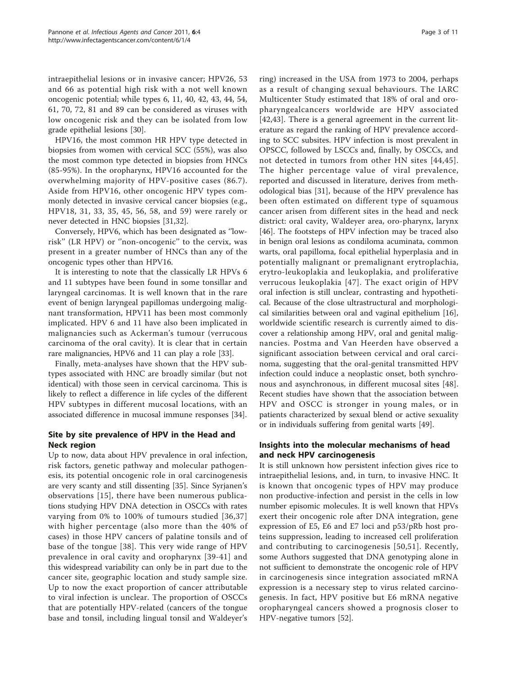intraepithelial lesions or in invasive cancer; HPV26, 53 and 66 as potential high risk with a not well known oncogenic potential; while types 6, 11, 40, 42, 43, 44, 54, 61, 70, 72, 81 and 89 can be considered as viruses with low oncogenic risk and they can be isolated from low grade epithelial lesions [\[30\]](#page-9-0).

HPV16, the most common HR HPV type detected in biopsies from women with cervical SCC (55%), was also the most common type detected in biopsies from HNCs (85-95%). In the oropharynx, HPV16 accounted for the overwhelming majority of HPV-positive cases (86.7). Aside from HPV16, other oncogenic HPV types commonly detected in invasive cervical cancer biopsies (e.g., HPV18, 31, 33, 35, 45, 56, 58, and 59) were rarely or never detected in HNC biopsies [\[31,32](#page-9-0)].

Conversely, HPV6, which has been designated as ''lowrisk'' (LR HPV) or ''non-oncogenic'' to the cervix, was present in a greater number of HNCs than any of the oncogenic types other than HPV16.

It is interesting to note that the classically LR HPVs 6 and 11 subtypes have been found in some tonsillar and laryngeal carcinomas. It is well known that in the rare event of benign laryngeal papillomas undergoing malignant transformation, HPV11 has been most commonly implicated. HPV 6 and 11 have also been implicated in malignancies such as Ackerman's tumour (verrucous carcinoma of the oral cavity). It is clear that in certain rare malignancies, HPV6 and 11 can play a role [[33\]](#page-9-0).

Finally, meta-analyses have shown that the HPV subtypes associated with HNC are broadly similar (but not identical) with those seen in cervical carcinoma. This is likely to reflect a difference in life cycles of the different HPV subtypes in different mucosal locations, with an associated difference in mucosal immune responses [\[34\]](#page-9-0).

### Site by site prevalence of HPV in the Head and Neck region

Up to now, data about HPV prevalence in oral infection, risk factors, genetic pathway and molecular pathogenesis, its potential oncogenic role in oral carcinogenesis are very scanty and still dissenting [[35\]](#page-9-0). Since Syrjanen's observations [\[15\]](#page-9-0), there have been numerous publications studying HPV DNA detection in OSCCs with rates varying from 0% to 100% of tumours studied [[36](#page-9-0),[37](#page-9-0)] with higher percentage (also more than the 40% of cases) in those HPV cancers of palatine tonsils and of base of the tongue [\[38](#page-9-0)]. This very wide range of HPV prevalence in oral cavity and oropharynx [\[39-41\]](#page-9-0) and this widespread variability can only be in part due to the cancer site, geographic location and study sample size. Up to now the exact proportion of cancer attributable to viral infection is unclear. The proportion of OSCCs that are potentially HPV-related (cancers of the tongue base and tonsil, including lingual tonsil and Waldeyer's

ring) increased in the USA from 1973 to 2004, perhaps as a result of changing sexual behaviours. The IARC Multicenter Study estimated that 18% of oral and oropharyngealcancers worldwide are HPV associated [[42,43](#page-9-0)]. There is a general agreement in the current literature as regard the ranking of HPV prevalence according to SCC subsites. HPV infection is most prevalent in OPSCC, followed by LSCCs and, finally, by OSCCs, and not detected in tumors from other HN sites [\[44,45\]](#page-9-0). The higher percentage value of viral prevalence, reported and discussed in literature, derives from methodological bias [[31\]](#page-9-0), because of the HPV prevalence has been often estimated on different type of squamous cancer arisen from different sites in the head and neck district: oral cavity, Waldeyer area, oro-pharynx, larynx [[46\]](#page-9-0). The footsteps of HPV infection may be traced also in benign oral lesions as condiloma acuminata, common warts, oral papilloma, focal epithelial hyperplasia and in potentially malignant or premalignant erytroplachia, erytro-leukoplakia and leukoplakia, and proliferative verrucous leukoplakia [[47](#page-9-0)]. The exact origin of HPV oral infection is still unclear, contrasting and hypothetical. Because of the close ultrastructural and morphological similarities between oral and vaginal epithelium [\[16](#page-9-0)], worldwide scientific research is currently aimed to discover a relationship among HPV, oral and genital malignancies. Postma and Van Heerden have observed a significant association between cervical and oral carcinoma, suggesting that the oral-genital transmitted HPV infection could induce a neoplastic onset, both synchronous and asynchronous, in different mucosal sites [\[48](#page-9-0)]. Recent studies have shown that the association between HPV and OSCC is stronger in young males, or in patients characterized by sexual blend or active sexuality or in individuals suffering from genital warts [\[49\]](#page-9-0).

# Insights into the molecular mechanisms of head and neck HPV carcinogenesis

It is still unknown how persistent infection gives rice to intraepithelial lesions, and, in turn, to invasive HNC. It is known that oncogenic types of HPV may produce non productive-infection and persist in the cells in low number episomic molecules. It is well known that HPVs exert their oncogenic role after DNA integration, gene expression of E5, E6 and E7 loci and p53/pRb host proteins suppression, leading to increased cell proliferation and contributing to carcinogenesis [[50](#page-9-0),[51](#page-9-0)]. Recently, some Authors suggested that DNA genotyping alone in not sufficient to demonstrate the oncogenic role of HPV in carcinogenesis since integration associated mRNA expression is a necessary step to virus related carcinogenesis. In fact, HPV positive but E6 mRNA negative oropharyngeal cancers showed a prognosis closer to HPV-negative tumors [\[52\]](#page-9-0).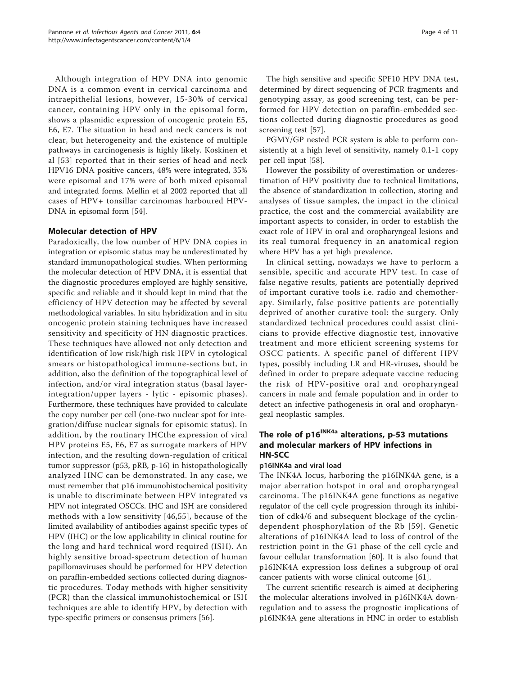Although integration of HPV DNA into genomic DNA is a common event in cervical carcinoma and intraepithelial lesions, however, 15-30% of cervical cancer, containing HPV only in the episomal form, shows a plasmidic expression of oncogenic protein E5, E6, E7. The situation in head and neck cancers is not clear, but heterogeneity and the existence of multiple pathways in carcinogenesis is highly likely. Koskinen et al [[53\]](#page-10-0) reported that in their series of head and neck HPV16 DNA positive cancers, 48% were integrated, 35% were episomal and 17% were of both mixed episomal and integrated forms. Mellin et al 2002 reported that all cases of HPV+ tonsillar carcinomas harboured HPV-DNA in episomal form [[54\]](#page-10-0).

#### Molecular detection of HPV

Paradoxically, the low number of HPV DNA copies in integration or episomic status may be underestimated by standard immunopathological studies. When performing the molecular detection of HPV DNA, it is essential that the diagnostic procedures employed are highly sensitive, specific and reliable and it should kept in mind that the efficiency of HPV detection may be affected by several methodological variables. In situ hybridization and in situ oncogenic protein staining techniques have increased sensitivity and specificity of HN diagnostic practices. These techniques have allowed not only detection and identification of low risk/high risk HPV in cytological smears or histopathological immune-sections but, in addition, also the definition of the topographical level of infection, and/or viral integration status (basal layerintegration/upper layers - lytic - episomic phases). Furthermore, these techniques have provided to calculate the copy number per cell (one-two nuclear spot for integration/diffuse nuclear signals for episomic status). In addition, by the routinary IHCthe expression of viral HPV proteins E5, E6, E7 as surrogate markers of HPV infection, and the resulting down-regulation of critical tumor suppressor (p53, pRB, p-16) in histopathologically analyzed HNC can be demonstrated. In any case, we must remember that p16 immunohistochemical positivity is unable to discriminate between HPV integrated vs HPV not integrated OSCCs. IHC and ISH are considered methods with a low sensitivity [[46](#page-9-0),[55](#page-10-0)], because of the limited availability of antibodies against specific types of HPV (IHC) or the low applicability in clinical routine for the long and hard technical word required (ISH). An highly sensitive broad-spectrum detection of human papillomaviruses should be performed for HPV detection on paraffin-embedded sections collected during diagnostic procedures. Today methods with higher sensitivity (PCR) than the classical immunohistochemical or ISH techniques are able to identify HPV, by detection with type-specific primers or consensus primers [[56\]](#page-10-0).

The high sensitive and specific SPF10 HPV DNA test, determined by direct sequencing of PCR fragments and genotyping assay, as good screening test, can be performed for HPV detection on paraffin-embedded sections collected during diagnostic procedures as good screening test [\[57](#page-10-0)].

PGMY/GP nested PCR system is able to perform consistently at a high level of sensitivity, namely 0.1-1 copy per cell input [\[58](#page-10-0)].

However the possibility of overestimation or underestimation of HPV positivity due to technical limitations, the absence of standardization in collection, storing and analyses of tissue samples, the impact in the clinical practice, the cost and the commercial availability are important aspects to consider, in order to establish the exact role of HPV in oral and oropharyngeal lesions and its real tumoral frequency in an anatomical region where HPV has a yet high prevalence.

In clinical setting, nowadays we have to perform a sensible, specific and accurate HPV test. In case of false negative results, patients are potentially deprived of important curative tools i.e. radio and chemotherapy. Similarly, false positive patients are potentially deprived of another curative tool: the surgery. Only standardized technical procedures could assist clinicians to provide effective diagnostic test, innovative treatment and more efficient screening systems for OSCC patients. A specific panel of different HPV types, possibly including LR and HR-viruses, should be defined in order to prepare adequate vaccine reducing the risk of HPV-positive oral and oropharyngeal cancers in male and female population and in order to detect an infective pathogenesis in oral and oropharyngeal neoplastic samples.

# The role of p16<sup>INK4a</sup> alterations, p-53 mutations and molecular markers of HPV infections in HN-SCC

#### p16INK4a and viral load

The INK4A locus, harboring the p16INK4A gene, is a major aberration hotspot in oral and oropharyngeal carcinoma. The p16INK4A gene functions as negative regulator of the cell cycle progression through its inhibition of cdk4/6 and subsequent blockage of the cyclindependent phosphorylation of the Rb [[59](#page-10-0)]. Genetic alterations of p16INK4A lead to loss of control of the restriction point in the G1 phase of the cell cycle and favour cellular transformation [[60\]](#page-10-0). It is also found that p16INK4A expression loss defines a subgroup of oral cancer patients with worse clinical outcome [[61](#page-10-0)].

The current scientific research is aimed at deciphering the molecular alterations involved in p16INK4A downregulation and to assess the prognostic implications of p16INK4A gene alterations in HNC in order to establish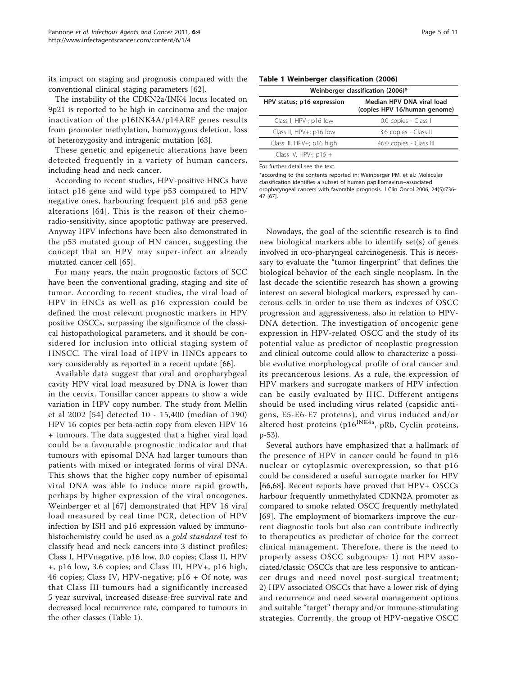its impact on staging and prognosis compared with the conventional clinical staging parameters [\[62](#page-10-0)].

The instability of the CDKN2a/INK4 locus located on 9p21 is reported to be high in carcinoma and the major inactivation of the p16INK4A/p14ARF genes results from promoter methylation, homozygous deletion, loss of heterozygosity and intragenic mutation [[63\]](#page-10-0).

These genetic and epigenetic alterations have been detected frequently in a variety of human cancers, including head and neck cancer.

According to recent studies, HPV-positive HNCs have intact p16 gene and wild type p53 compared to HPV negative ones, harbouring frequent p16 and p53 gene alterations [[64\]](#page-10-0). This is the reason of their chemoradio-sensitivity, since apoptotic pathway are preserved. Anyway HPV infections have been also demonstrated in the p53 mutated group of HN cancer, suggesting the concept that an HPV may super-infect an already mutated cancer cell [[65](#page-10-0)].

For many years, the main prognostic factors of SCC have been the conventional grading, staging and site of tumor. According to recent studies, the viral load of HPV in HNCs as well as p16 expression could be defined the most relevant prognostic markers in HPV positive OSCCs, surpassing the significance of the classical histopathological parameters, and it should be considered for inclusion into official staging system of HNSCC. The viral load of HPV in HNCs appears to vary considerably as reported in a recent update [\[66](#page-10-0)].

Available data suggest that oral and oropharybgeal cavity HPV viral load measured by DNA is lower than in the cervix. Tonsillar cancer appears to show a wide variation in HPV copy number. The study from Mellin et al 2002 [[54](#page-10-0)] detected 10 - 15,400 (median of 190) HPV 16 copies per beta-actin copy from eleven HPV 16 + tumours. The data suggested that a higher viral load could be a favourable prognostic indicator and that tumours with episomal DNA had larger tumours than patients with mixed or integrated forms of viral DNA. This shows that the higher copy number of episomal viral DNA was able to induce more rapid growth, perhaps by higher expression of the viral oncogenes. Weinberger et al [[67\]](#page-10-0) demonstrated that HPV 16 viral load measured by real time PCR, detection of HPV infection by ISH and p16 expression valued by immunohistochemistry could be used as a *gold standard* test to classify head and neck cancers into 3 distinct profiles: Class I, HPVnegative, p16 low, 0.0 copies; Class II, HPV +, p16 low, 3.6 copies; and Class III, HPV+, p16 high, 46 copies; Class IV, HPV-negative; p16 + Of note, was that Class III tumours had a significantly increased 5 year survival, increased disease-free survival rate and decreased local recurrence rate, compared to tumours in the other classes (Table 1).

| Weinberger classification (2006)* |                                                           |  |
|-----------------------------------|-----------------------------------------------------------|--|
| HPV status; p16 expression        | Median HPV DNA viral load<br>(copies HPV 16/human genome) |  |
| Class I, HPV-; p16 low            | 0.0 copies - Class I                                      |  |
| Class II, $HPV+$ ; p16 low        | 3.6 copies - Class II                                     |  |
| Class III, $HPV+$ ; p16 high      | 46.0 copies - Class III                                   |  |

Table 1 Weinberger classification (2006)

For further detail see the text.

Class IV, HPV-;  $p16 +$ 

\*according to the contents reported in: Weinberger PM, et al.: Molecular classification identifies a subset of human papillomavirus–associated oropharyngeal cancers with favorable prognosis. J Clin Oncol 2006, 24(5):736- 47 [\[67](#page-10-0)].

Nowadays, the goal of the scientific research is to find new biological markers able to identify set(s) of genes involved in oro-pharyngeal carcinogenesis. This is necessary to evaluate the "tumor fingerprint" that defines the biological behavior of the each single neoplasm. In the last decade the scientific research has shown a growing interest on several biological markers, expressed by cancerous cells in order to use them as indexes of OSCC progression and aggressiveness, also in relation to HPV-DNA detection. The investigation of oncogenic gene expression in HPV-related OSCC and the study of its potential value as predictor of neoplastic progression and clinical outcome could allow to characterize a possible evolutive morphologycal profile of oral cancer and its precancerous lesions. As a rule, the expression of HPV markers and surrogate markers of HPV infection can be easily evaluated by IHC. Different antigens should be used including virus related (capsidic antigens, E5-E6-E7 proteins), and virus induced and/or altered host proteins (p16<sup>INK4a</sup>, pRb, Cyclin proteins, p-53).

Several authors have emphasized that a hallmark of the presence of HPV in cancer could be found in p16 nuclear or cytoplasmic overexpression, so that p16 could be considered a useful surrogate marker for HPV [[66,68](#page-10-0)]. Recent reports have proved that HPV+ OSCCs harbour frequently unmethylated CDKN2A promoter as compared to smoke related OSCC frequently methylated [[69](#page-10-0)]. The employment of biomarkers improve the current diagnostic tools but also can contribute indirectly to therapeutics as predictor of choice for the correct clinical management. Therefore, there is the need to properly assess OSCC subgroups: 1) not HPV associated/classic OSCCs that are less responsive to anticancer drugs and need novel post-surgical treatment; 2) HPV associated OSCCs that have a lower risk of dying and recurrence and need several management options and suitable "target" therapy and/or immune-stimulating strategies. Currently, the group of HPV-negative OSCC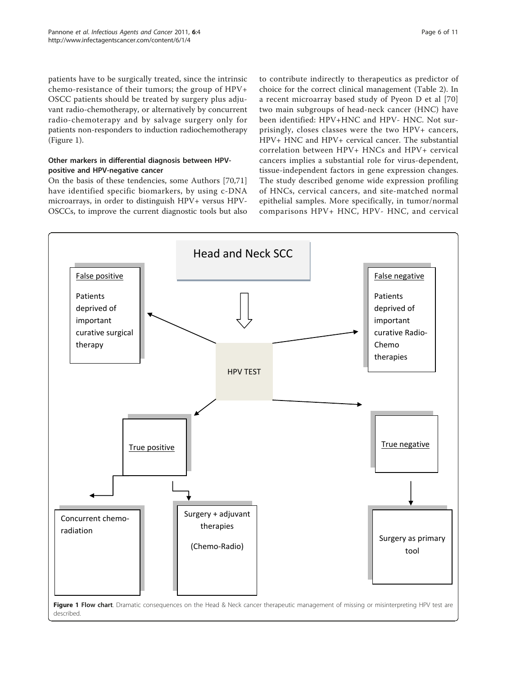patients have to be surgically treated, since the intrinsic chemo-resistance of their tumors; the group of HPV+ OSCC patients should be treated by surgery plus adjuvant radio-chemotherapy, or alternatively by concurrent radio-chemoterapy and by salvage surgery only for patients non-responders to induction radiochemotherapy (Figure 1).

# Other markers in differential diagnosis between HPVpositive and HPV-negative cancer

On the basis of these tendencies, some Authors [\[70,71](#page-10-0)] have identified specific biomarkers, by using c-DNA microarrays, in order to distinguish HPV+ versus HPV-OSCCs, to improve the current diagnostic tools but also

to contribute indirectly to therapeutics as predictor of choice for the correct clinical management (Table [2](#page-6-0)). In a recent microarray based study of Pyeon D et al [[70](#page-10-0)] two main subgroups of head-neck cancer (HNC) have been identified: HPV+HNC and HPV- HNC. Not surprisingly, closes classes were the two HPV+ cancers, HPV+ HNC and HPV+ cervical cancer. The substantial correlation between HPV+ HNCs and HPV+ cervical cancers implies a substantial role for virus-dependent, tissue-independent factors in gene expression changes. The study described genome wide expression profiling of HNCs, cervical cancers, and site-matched normal epithelial samples. More specifically, in tumor/normal comparisons HPV+ HNC, HPV- HNC, and cervical

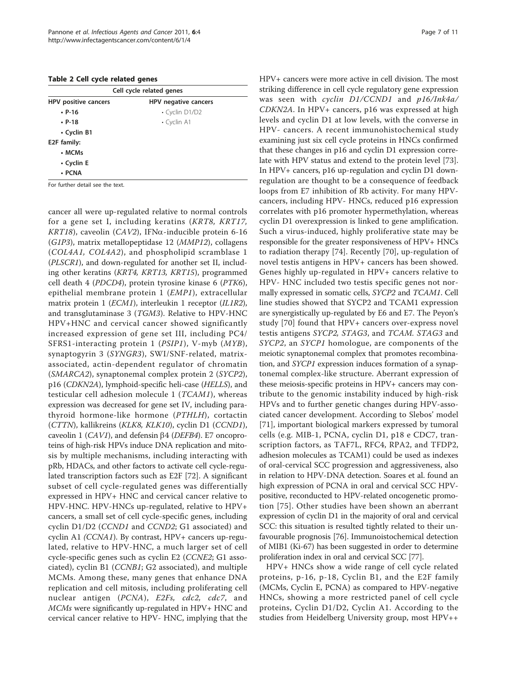<span id="page-6-0"></span>Table 2 Cell cycle related genes

| Cell cycle related genes    |                      |  |
|-----------------------------|----------------------|--|
| <b>HPV positive cancers</b> | HPV negative cancers |  |
| $\cdot$ P-16                | • Cyclin D1/D2       |  |
| $\cdot$ P-18                | • Cyclin A1          |  |
| • Cyclin B1                 |                      |  |
| E2F family:                 |                      |  |
| $•$ MCMs                    |                      |  |
| • Cyclin E                  |                      |  |
| $\cdot$ PCNA                |                      |  |

For further detail see the text.

cancer all were up-regulated relative to normal controls for a gene set I, including keratins (KRT8, KRT17, KRT18), caveolin (CAV2), IFN $\alpha$ -inducible protein 6-16 (G1P3), matrix metallopeptidase 12 (MMP12), collagens (COL4A1, COL4A2), and phospholipid scramblase 1 (PLSCR1), and down-regulated for another set II, including other keratins (KRT4, KRT13, KRT15), programmed cell death 4 (PDCD4), protein tyrosine kinase 6 (PTK6), epithelial membrane protein 1 (EMP1), extracellular matrix protein 1 (*ECM1*), interleukin 1 receptor (*IL1R2*), and transglutaminase 3 (TGM3). Relative to HPV-HNC HPV+HNC and cervical cancer showed significantly increased expression of gene set III, including PC4/ SFRS1-interacting protein 1 (PSIP1), V-myb (MYB), synaptogyrin 3 (SYNGR3), SWI/SNF-related, matrixassociated, actin-dependent regulator of chromatin (SMARCA2), synaptonemal complex protein 2 (SYCP2), p16 (CDKN2A), lymphoid-specific heli-case (HELLS), and testicular cell adhesion molecule 1 (TCAM1), whereas expression was decreased for gene set IV, including parathyroid hormone-like hormone (PTHLH), cortactin (CTTN), kallikreins (KLK8, KLK10), cyclin D1 (CCND1), caveolin 1 (CAV1), and defensin  $\beta$ 4 (DEFB4). E7 oncoproteins of high-risk HPVs induce DNA replication and mitosis by multiple mechanisms, including interacting with pRb, HDACs, and other factors to activate cell cycle-regulated transcription factors such as E2F [\[72](#page-10-0)]. A significant subset of cell cycle-regulated genes was differentially expressed in HPV+ HNC and cervical cancer relative to HPV-HNC. HPV-HNCs up-regulated, relative to HPV+ cancers, a small set of cell cycle-specific genes, including cyclin D1/D2 (CCND1 and CCND2; G1 associated) and cyclin A1 (CCNA1). By contrast, HPV+ cancers up-regulated, relative to HPV-HNC, a much larger set of cell cycle-specific genes such as cyclin E2 (CCNE2; G1 associated), cyclin B1 (CCNB1; G2 associated), and multiple MCMs. Among these, many genes that enhance DNA replication and cell mitosis, including proliferating cell nuclear antigen (PCNA), E2Fs, cdc2, cdc7, and MCMs were significantly up-regulated in HPV+ HNC and cervical cancer relative to HPV- HNC, implying that the HPV+ cancers were more active in cell division. The most striking difference in cell cycle regulatory gene expression was seen with cyclin D1/CCND1 and p16/Ink4a/ CDKN2A. In HPV+ cancers, p16 was expressed at high levels and cyclin D1 at low levels, with the converse in HPV- cancers. A recent immunohistochemical study examining just six cell cycle proteins in HNCs confirmed that these changes in p16 and cyclin D1 expression correlate with HPV status and extend to the protein level [[73](#page-10-0)]. In HPV+ cancers, p16 up-regulation and cyclin D1 downregulation are thought to be a consequence of feedback loops from E7 inhibition of Rb activity. For many HPVcancers, including HPV- HNCs, reduced p16 expression correlates with p16 promoter hypermethylation, whereas cyclin D1 overexpression is linked to gene amplification. Such a virus-induced, highly proliferative state may be responsible for the greater responsiveness of HPV+ HNCs to radiation therapy [\[74](#page-10-0)]. Recently [[70\]](#page-10-0), up-regulation of novel testis antigens in HPV+ cancers has been showed. Genes highly up-regulated in HPV+ cancers relative to HPV- HNC included two testis specific genes not normally expressed in somatic cells, SYCP2 and TCAM1. Cell line studies showed that SYCP2 and TCAM1 expression are synergistically up-regulated by E6 and E7. The Peyon's study [[70\]](#page-10-0) found that HPV+ cancers over-express novel testis antigens SYCP2, STAG3, and TCAM. STAG3 and SYCP2, an SYCP1 homologue, are components of the meiotic synaptonemal complex that promotes recombination, and SYCP1 expression induces formation of a synaptonemal complex-like structure. Aberrant expression of these meiosis-specific proteins in HPV+ cancers may contribute to the genomic instability induced by high-risk HPVs and to further genetic changes during HPV-associated cancer development. According to Slebos' model [[71\]](#page-10-0), important biological markers expressed by tumoral cells (e.g. MIB-1, PCNA, cyclin D1, p18 e CDC7, transcription factors, as TAF7L, RFC4, RPA2, and TFDP2, adhesion molecules as TCAM1) could be used as indexes of oral-cervical SCC progression and aggressiveness, also in relation to HPV-DNA detection. Soares et al. found an high expression of PCNA in oral and cervical SCC HPVpositive, reconducted to HPV-related oncogenetic promotion [[75](#page-10-0)]. Other studies have been shown an aberrant expression of cyclin D1 in the majority of oral and cervical SCC: this situation is resulted tightly related to their unfavourable prognosis [[76](#page-10-0)]. Immunoistochemical detection of MIB1 (Ki-67) has been suggested in order to determine proliferation index in oral and cervical SCC [\[77](#page-10-0)].

HPV+ HNCs show a wide range of cell cycle related proteins, p-16, p-18, Cyclin B1, and the E2F family (MCMs, Cyclin E, PCNA) as compared to HPV-negative HNCs, showing a more restricted panel of cell cycle proteins, Cyclin D1/D2, Cyclin A1. According to the studies from Heidelberg University group, most HPV++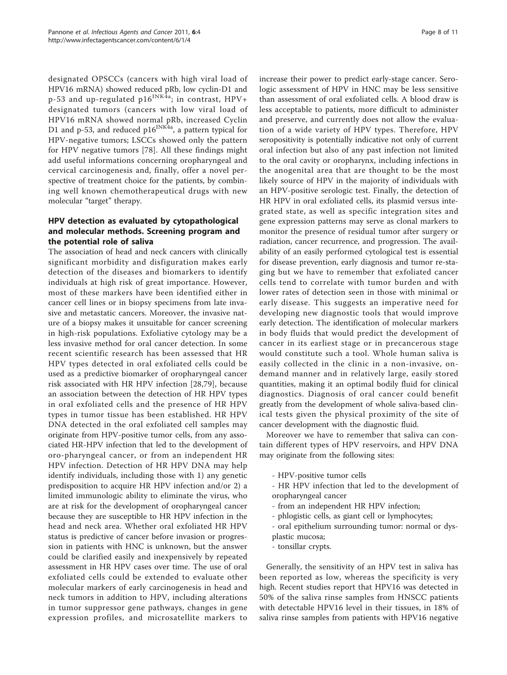designated OPSCCs (cancers with high viral load of HPV16 mRNA) showed reduced pRb, low cyclin-D1 and p-53 and up-regulated p16<sup>INK4a</sup>; in contrast, HPV+ designated tumors (cancers with low viral load of HPV16 mRNA showed normal pRb, increased Cyclin D1 and p-53, and reduced  $p16^{INK4a}$ , a pattern typical for HPV-negative tumors; LSCCs showed only the pattern for HPV negative tumors [[78\]](#page-10-0). All these findings might add useful informations concerning oropharyngeal and cervical carcinogenesis and, finally, offer a novel perspective of treatment choice for the patients, by combining well known chemotherapeutical drugs with new molecular "target" therapy.

## HPV detection as evaluated by cytopathological and molecular methods. Screening program and the potential role of saliva

The association of head and neck cancers with clinically significant morbidity and disfiguration makes early detection of the diseases and biomarkers to identify individuals at high risk of great importance. However, most of these markers have been identified either in cancer cell lines or in biopsy specimens from late invasive and metastatic cancers. Moreover, the invasive nature of a biopsy makes it unsuitable for cancer screening in high-risk populations. Exfoliative cytology may be a less invasive method for oral cancer detection. In some recent scientific research has been assessed that HR HPV types detected in oral exfoliated cells could be used as a predictive biomarker of oropharyngeal cancer risk associated with HR HPV infection [[28,](#page-9-0)[79](#page-10-0)], because an association between the detection of HR HPV types in oral exfoliated cells and the presence of HR HPV types in tumor tissue has been established. HR HPV DNA detected in the oral exfoliated cell samples may originate from HPV-positive tumor cells, from any associated HR-HPV infection that led to the development of oro-pharyngeal cancer, or from an independent HR HPV infection. Detection of HR HPV DNA may help identify individuals, including those with 1) any genetic predisposition to acquire HR HPV infection and/or 2) a limited immunologic ability to eliminate the virus, who are at risk for the development of oropharyngeal cancer because they are susceptible to HR HPV infection in the head and neck area. Whether oral exfoliated HR HPV status is predictive of cancer before invasion or progression in patients with HNC is unknown, but the answer could be clarified easily and inexpensively by repeated assessment in HR HPV cases over time. The use of oral exfoliated cells could be extended to evaluate other molecular markers of early carcinogenesis in head and neck tumors in addition to HPV, including alterations in tumor suppressor gene pathways, changes in gene expression profiles, and microsatellite markers to increase their power to predict early-stage cancer. Serologic assessment of HPV in HNC may be less sensitive than assessment of oral exfoliated cells. A blood draw is less acceptable to patients, more difficult to administer and preserve, and currently does not allow the evaluation of a wide variety of HPV types. Therefore, HPV seropositivity is potentially indicative not only of current oral infection but also of any past infection not limited to the oral cavity or oropharynx, including infections in the anogenital area that are thought to be the most likely source of HPV in the majority of individuals with an HPV-positive serologic test. Finally, the detection of HR HPV in oral exfoliated cells, its plasmid versus integrated state, as well as specific integration sites and gene expression patterns may serve as clonal markers to monitor the presence of residual tumor after surgery or radiation, cancer recurrence, and progression. The availability of an easily performed cytological test is essential for disease prevention, early diagnosis and tumor re-staging but we have to remember that exfoliated cancer cells tend to correlate with tumor burden and with lower rates of detection seen in those with minimal or early disease. This suggests an imperative need for developing new diagnostic tools that would improve early detection. The identification of molecular markers in body fluids that would predict the development of cancer in its earliest stage or in precancerous stage would constitute such a tool. Whole human saliva is easily collected in the clinic in a non-invasive, ondemand manner and in relatively large, easily stored quantities, making it an optimal bodily fluid for clinical diagnostics. Diagnosis of oral cancer could benefit greatly from the development of whole saliva-based clinical tests given the physical proximity of the site of cancer development with the diagnostic fluid.

Moreover we have to remember that saliva can contain different types of HPV reservoirs, and HPV DNA may originate from the following sites:

- HPV-positive tumor cells
- HR HPV infection that led to the development of oropharyngeal cancer
- from an independent HR HPV infection;
- phlogistic cells, as giant cell or lymphocytes;
- oral epithelium surrounding tumor: normal or dysplastic mucosa;
- tonsillar crypts.

Generally, the sensitivity of an HPV test in saliva has been reported as low, whereas the specificity is very high. Recent studies report that HPV16 was detected in 50% of the saliva rinse samples from HNSCC patients with detectable HPV16 level in their tissues, in 18% of saliva rinse samples from patients with HPV16 negative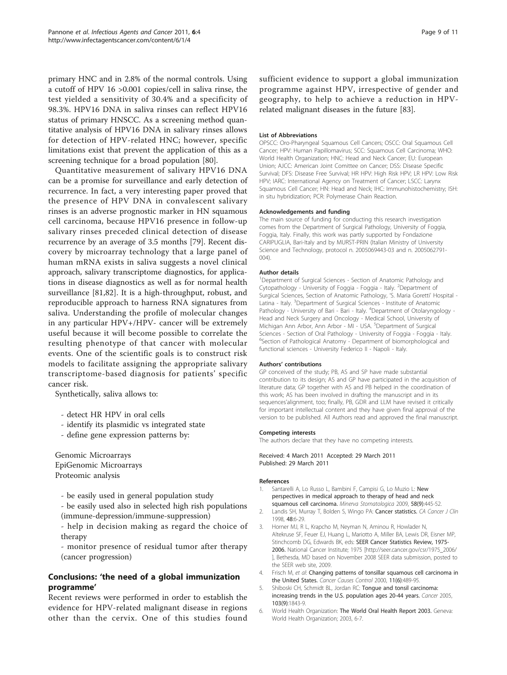<span id="page-8-0"></span>primary HNC and in 2.8% of the normal controls. Using a cutoff of HPV 16 >0.001 copies/cell in saliva rinse, the test yielded a sensitivity of 30.4% and a specificity of 98.3%. HPV16 DNA in saliva rinses can reflect HPV16 status of primary HNSCC. As a screening method quantitative analysis of HPV16 DNA in salivary rinses allows for detection of HPV-related HNC; however, specific limitations exist that prevent the application of this as a screening technique for a broad population [\[80\]](#page-10-0).

Quantitative measurement of salivary HPV16 DNA can be a promise for surveillance and early detection of recurrence. In fact, a very interesting paper proved that the presence of HPV DNA in convalescent salivary rinses is an adverse prognostic marker in HN squamous cell carcinoma, because HPV16 presence in follow-up salivary rinses preceded clinical detection of disease recurrence by an average of 3.5 months [\[79](#page-10-0)]. Recent discovery by microarray technology that a large panel of human mRNA exists in saliva suggests a novel clinical approach, salivary transcriptome diagnostics, for applications in disease diagnostics as well as for normal health surveillance [[81](#page-10-0),[82\]](#page-10-0). It is a high-throughput, robust, and reproducible approach to harness RNA signatures from saliva. Understanding the profile of molecular changes in any particular HPV+/HPV- cancer will be extremely useful because it will become possible to correlate the resulting phenotype of that cancer with molecular events. One of the scientific goals is to construct risk models to facilitate assigning the appropriate salivary transcriptome-based diagnosis for patients' specific cancer risk.

Synthetically, saliva allows to:

- detect HR HPV in oral cells
- identify its plasmidic vs integrated state
- define gene expression patterns by:

Genomic Microarrays EpiGenomic Microarrays Proteomic analysis

- be easily used in general population study

- be easily used also in selected high rish populations (immune-depression/immune-suppression)

- help in decision making as regard the choice of therapy

- monitor presence of residual tumor after therapy (cancer progression)

#### Conclusions: 'the need of a global immunization programme'

Recent reviews were performed in order to establish the evidence for HPV-related malignant disease in regions other than the cervix. One of this studies found sufficient evidence to support a global immunization programme against HPV, irrespective of gender and geography, to help to achieve a reduction in HPVrelated malignant diseases in the future [\[83\]](#page-10-0).

#### List of Abbreviations

OPSCC: Oro-Pharyngeal Squamous Cell Cancers; OSCC: Oral Squamous Cell Cancer; HPV: Human Papillomavirus; SCC: Squamous Cell Carcinoma; WHO: World Health Organization; HNC: Head and Neck Cancer; EU: European Union; AJCC: American Joint Comittee on Cancer; DSS: Disease Specific Survival; DFS: Disease Free Survival; HR HPV: High Risk HPV; LR HPV: Low Risk HPV; IARC: International Agency on Treatment of Cancer; LSCC: Larynx Squamous Cell Cancer; HN: Head and Neck; IHC: Immunohistochemistry; ISH: in situ hybridization; PCR: Polymerase Chain Reaction.

#### Acknowledgements and funding

The main source of funding for conducting this research investigation comes from the Department of Surgical Pathology, University of Foggia, Foggia, Italy. Finally, this work was partly supported by Fondazione CARIPUGLIA, Bari-Italy and by MURST-PRIN (Italian Ministry of University Science and Technology, protocol n. 2005069443-03 and n. 2005062791-  $(10^{4})$ 

#### Author details

<sup>1</sup>Department of Surgical Sciences - Section of Anatomic Pathology and Cytopathology - University of Foggia - Foggia - Italy. <sup>2</sup>Department of Surgical Sciences, Section of Anatomic Pathology, 'S. Maria Goretti' Hospital - Latina - Italy. <sup>3</sup>Department of Surgical Sciences - Institute of Anatomic Pathology - University of Bari - Bari - Italy. <sup>4</sup>Department of Otolaryngology -Head and Neck Surgery and Oncology - Medical School, University of Michigan Ann Arbor, Ann Arbor - MI - USA. <sup>5</sup>Department of Surgical Sciences - Section of Oral Pathology - University of Foggia - Foggia - Italy. 6 Section of Pathological Anatomy - Department of biomorphological and functional sciences - University Federico II - Napoli - Italy.

#### Authors' contributions

GP conceived of the study; PB, AS and SP have made substantial contribution to its design; AS and GP have participated in the acquisition of literature data; GP together with AS and PB helped in the coordination of this work; AS has been involved in drafting the manuscript and in its sequences'alignment, too; finally, PB, GDR and LLM have revised it critically for important intellectual content and they have given final approval of the version to be published. All Authors read and approved the final manuscript.

#### Competing interests

The authors declare that they have no competing interests.

Received: 4 March 2011 Accepted: 29 March 2011 Published: 29 March 2011

#### References

- 1. Santarelli A, Lo Russo L, Bambini F, Campisi G, Lo Muzio L: [New](http://www.ncbi.nlm.nih.gov/pubmed/19893469?dopt=Abstract) [perspectives in medical approach to therapy of head and neck](http://www.ncbi.nlm.nih.gov/pubmed/19893469?dopt=Abstract) [squamous cell carcinoma.](http://www.ncbi.nlm.nih.gov/pubmed/19893469?dopt=Abstract) Minerva Stomatologica 2009, 58(9):445-52.
- 2. Landis SH, Murray T, Bolden S, Wingo PA: [Cancer statistics.](http://www.ncbi.nlm.nih.gov/pubmed/9449931?dopt=Abstract) CA Cancer J Clin 1998, 48:6-29.
- 3. Horner MJ, R L, Krapcho M, Neyman N, Aminou R, Howlader N, Altekruse SF, Feuer EJ, Huang L, Mariotto A, Miller BA, Lewis DR, Eisner MP, Stinchcomb DG, Edwards BK, eds: SEER Cancer Statistics Review, 1975-2006. National Cancer Institute; 1975 [[http://seer.cancer.gov/csr/1975\\_2006/](http://seer.cancer.gov/csr/1975_2006/) ], Bethesda, MD based on November 2008 SEER data submission, posted to the SEER web site, 2009.
- 4. Frisch M, et al: [Changing patterns of tonsillar squamous cell carcinoma in](http://www.ncbi.nlm.nih.gov/pubmed/10880031?dopt=Abstract) [the United States.](http://www.ncbi.nlm.nih.gov/pubmed/10880031?dopt=Abstract) Cancer Causes Control 2000, 11(6):489-95.
- Shiboski CH, Schmidt BL, Jordan RC: [Tongue and tonsil carcinoma:](http://www.ncbi.nlm.nih.gov/pubmed/15772957?dopt=Abstract) [increasing trends in the U.S. population ages 20-44 years.](http://www.ncbi.nlm.nih.gov/pubmed/15772957?dopt=Abstract) Cancer 2005, 103(9):1843-9.
- 6. World Health Organization: The World Oral Health Report 2003. Geneva: World Health Organization; 2003, 6-7.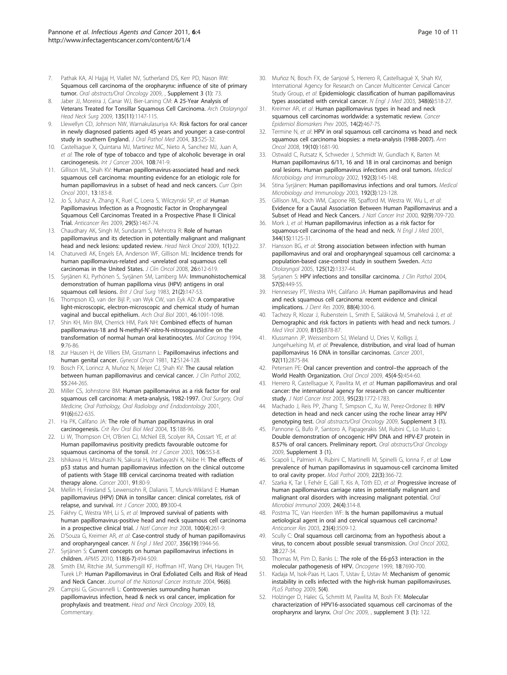- <span id="page-9-0"></span>7. Pathak KA, Al Hajjaj H, Viallet NV, Sutherland DS, Kerr PD, Nason RW: Squamous cell carcinoma of the oropharynx: influence of site of primary tumor. Oral abstracts/Oral Oncology 2009, , Supplement 3 (1): 73.
- 8. Jaber JJ, Moreira J, Canar WJ, Bier-Laning CM: [A 25-Year Analysis of](http://www.ncbi.nlm.nih.gov/pubmed/19917929?dopt=Abstract) [Veterans Treated for Tonsillar Squamous Cell Carcinoma.](http://www.ncbi.nlm.nih.gov/pubmed/19917929?dopt=Abstract) Arch Otolaryngol Head Neck Surg 2009, 135(11):1147-115.
- Llewellyn CD, Johnson NW, Warnakulasuriya KA: [Risk factors for oral cancer](http://www.ncbi.nlm.nih.gov/pubmed/15357672?dopt=Abstract) [in newly diagnosed patients aged 45 years and younger: a case-control](http://www.ncbi.nlm.nih.gov/pubmed/15357672?dopt=Abstract) [study in southern England.](http://www.ncbi.nlm.nih.gov/pubmed/15357672?dopt=Abstract) J Oral Pathol Med 2004, 33:525-32.
- 10. Castellsague X, Quintana MJ, Martinez MC, Nieto A, Sanchez MJ, Juan A, et al: [The role of type of tobacco and type of alcoholic beverage in oral](http://www.ncbi.nlm.nih.gov/pubmed/14696101?dopt=Abstract) [carcinogenesis.](http://www.ncbi.nlm.nih.gov/pubmed/14696101?dopt=Abstract) Int J Cancer 2004, 108:741-9.
- 11. Gillison ML, Shah KV: [Human papillomavirus-associated head and neck](http://www.ncbi.nlm.nih.gov/pubmed/11307062?dopt=Abstract) [squamous cell carcinoma: mounting evidence for an etiologic role for](http://www.ncbi.nlm.nih.gov/pubmed/11307062?dopt=Abstract) [human papillomavirus in a subset of head and neck cancers.](http://www.ncbi.nlm.nih.gov/pubmed/11307062?dopt=Abstract) Curr Opin Oncol 2001, 13:183-8.
- 12. Jo S, Juhasz A, Zhang K, Ruel C, Loera S, Wilczynski SP, et al: [Human](http://www.ncbi.nlm.nih.gov/pubmed/19443352?dopt=Abstract) [Papillomavirus Infection as a Prognostic Factor in Oropharyngeal](http://www.ncbi.nlm.nih.gov/pubmed/19443352?dopt=Abstract) [Squamous Cell Carcinomas Treated in a Prospective Phase II Clinical](http://www.ncbi.nlm.nih.gov/pubmed/19443352?dopt=Abstract) [Trial.](http://www.ncbi.nlm.nih.gov/pubmed/19443352?dopt=Abstract) Anticancer Res 2009, 29(5):1467-74.
- 13. Chaudhary AK, Singh M, Sundaram S, Mehrotra R: [Role of human](http://www.ncbi.nlm.nih.gov/pubmed/19555477?dopt=Abstract) [papillomavirus and its detection in potentially malignant and malignant](http://www.ncbi.nlm.nih.gov/pubmed/19555477?dopt=Abstract) [head and neck lesions: updated review.](http://www.ncbi.nlm.nih.gov/pubmed/19555477?dopt=Abstract) Head Neck Oncol 2009, 1(1):22.
- 14. Chaturvedi AK, Engels EA, Anderson WF, Gillison ML: [Incidence trends for](http://www.ncbi.nlm.nih.gov/pubmed/18235120?dopt=Abstract) [human papillomavirus-related and -unrelated oral squamous cell](http://www.ncbi.nlm.nih.gov/pubmed/18235120?dopt=Abstract) [carcinomas in the United States.](http://www.ncbi.nlm.nih.gov/pubmed/18235120?dopt=Abstract) J Clin Oncol 2008, 26:612-619.
- 15. Syrjänen KJ, Pyrhönen S, Syrjänen SM, Lamberg MA: [Immunohistochemical](http://www.ncbi.nlm.nih.gov/pubmed/6307342?dopt=Abstract) [demonstration of human papilloma virus \(HPV\) antigens in oral](http://www.ncbi.nlm.nih.gov/pubmed/6307342?dopt=Abstract) [squamous cell lesions.](http://www.ncbi.nlm.nih.gov/pubmed/6307342?dopt=Abstract) Brit J Oral Surg 1983, 21(2):147-53.
- 16. Thompson IO, van der Bijl P, van Wyk CW, van Eyk AD: [A comparative](http://www.ncbi.nlm.nih.gov/pubmed/11684027?dopt=Abstract) [light-microscopic, electron-microscopic and chemical study of human](http://www.ncbi.nlm.nih.gov/pubmed/11684027?dopt=Abstract) [vaginal and buccal epithelium.](http://www.ncbi.nlm.nih.gov/pubmed/11684027?dopt=Abstract) Arch Oral Biol 2001, 46:1091-1098.
- 17. Shin KH, Min BM, Cherrick HM, Park NH: [Combined effects of human](http://www.ncbi.nlm.nih.gov/pubmed/8142012?dopt=Abstract) [papillomavirus-18 and N-methyl-N](http://www.ncbi.nlm.nih.gov/pubmed/8142012?dopt=Abstract)'-nitro-N-nitrosoguanidine on the [transformation of normal human oral keratinocytes.](http://www.ncbi.nlm.nih.gov/pubmed/8142012?dopt=Abstract) Mol Carcinog 1994, 9:76-86.
- 18. zur Hausen H, de Villiers EM, Gissmann L: [Papillomavirus infections and](http://www.ncbi.nlm.nih.gov/pubmed/6273261?dopt=Abstract) [human genital cancer.](http://www.ncbi.nlm.nih.gov/pubmed/6273261?dopt=Abstract) Gynecol Oncol 1981, 12:S124-128.
- 19. Bosch FX, Lorincz A, Muñoz N, Meijer CJ, Shah KV: [The causal relation](http://www.ncbi.nlm.nih.gov/pubmed/11919208?dopt=Abstract) [between human papillomavirus and cervical cancer.](http://www.ncbi.nlm.nih.gov/pubmed/11919208?dopt=Abstract) J Clin Pathol 2002, 55:244-265.
- 20. Miller CS, Johnstone BM: Human papillomavirus as a risk factor for oral squamous cell carcinoma: A meta-analysis, 1982-1997. Oral Surgery, Oral Medicine, Oral Pathology, Oral Radiology and Endodontology 2001, 91(6):622-635.
- 21. Ha PK, Califano JA: [The role of human papillomavirus in oral](http://www.ncbi.nlm.nih.gov/pubmed/15284184?dopt=Abstract) [carcinogenesis.](http://www.ncbi.nlm.nih.gov/pubmed/15284184?dopt=Abstract) Crit Rev Oral Biol Med 2004, 15:188-96.
- 22. Li W, Thompson CH, O'Brien CJ, McNeil EB, Scolver RA, Cossart YE, et al: [Human papillomavirus positivity predicts favourable outcome for](http://www.ncbi.nlm.nih.gov/pubmed/12845651?dopt=Abstract) [squamous carcinoma of the tonsil.](http://www.ncbi.nlm.nih.gov/pubmed/12845651?dopt=Abstract) Int J Cancer 2003, 106:553-8.
- 23. Ishikawa H, Mitsuhashi N, Sakurai H, Maebayashi K, Niibe H: [The effects of](http://www.ncbi.nlm.nih.gov/pubmed/11148563?dopt=Abstract) [p53 status and human papillomavirus infection on the clinical outcome](http://www.ncbi.nlm.nih.gov/pubmed/11148563?dopt=Abstract) [of patients with Stage IIIB cervical carcinoma treated with radiation](http://www.ncbi.nlm.nih.gov/pubmed/11148563?dopt=Abstract) [therapy alone.](http://www.ncbi.nlm.nih.gov/pubmed/11148563?dopt=Abstract) Cancer 2001, 91:80-9.
- 24. Mellin H, Friesland S, Lewensohn R, Dalianis T, Munck-Wikland E: [Human](http://www.ncbi.nlm.nih.gov/pubmed/10861508?dopt=Abstract) [papillomavirus \(HPV\) DNA in tonsillar cancer: clinical correlates, risk of](http://www.ncbi.nlm.nih.gov/pubmed/10861508?dopt=Abstract) [relapse, and survival.](http://www.ncbi.nlm.nih.gov/pubmed/10861508?dopt=Abstract) Int J Cancer 2000, 89:300-4.
- 25. Fakhry C, Westra WH, Li S, et al: [Improved survival of patients with](http://www.ncbi.nlm.nih.gov/pubmed/18270337?dopt=Abstract) [human papillomavirus-positive head and neck squamous cell carcinoma](http://www.ncbi.nlm.nih.gov/pubmed/18270337?dopt=Abstract) [in a prospective clinical trial.](http://www.ncbi.nlm.nih.gov/pubmed/18270337?dopt=Abstract) J Natl Cancer Inst 2008, 100(4):261-9.
- 26. D'Souza G, Kreimer AR, et al: [Case-control study of human papillomavirus](http://www.ncbi.nlm.nih.gov/pubmed/17494927?dopt=Abstract) [and oropharyngeal cancer.](http://www.ncbi.nlm.nih.gov/pubmed/17494927?dopt=Abstract) N Engl J Med 2007, 356(19):1944-56.
- 27. Syrjänen S: [Current concepts on human papillomavirus infections in](http://www.ncbi.nlm.nih.gov/pubmed/20553530?dopt=Abstract) [children.](http://www.ncbi.nlm.nih.gov/pubmed/20553530?dopt=Abstract) APMIS 2010, 118(6-7):494-509.
- 28. Smith EM, Ritchie JM, Summersgill KF, Hoffman HT, Wang DH, Haugen TH, Turek LP: [Human Papillomavirus in Oral Exfoliated Cells and Risk of Head](http://www.ncbi.nlm.nih.gov/pubmed/15026470?dopt=Abstract) [and Neck Cancer.](http://www.ncbi.nlm.nih.gov/pubmed/15026470?dopt=Abstract) Journal of the National Cancer Institute 2004, 96(6).
- 29. Campisi G, Giovannelli L: Controversies surrounding human papillomavirus infection, head & neck vs oral cancer, implication for prophylaxis and treatment. Head and Neck Oncology 2009, I:8, Commentary.
- 30. Muñoz N, Bosch FX, de Sanjosé S, Herrero R, Castellsagué X, Shah KV, International Agency for Research on Cancer Multicenter Cervical Cancer Study Group, et al: [Epidemiologic classification of human papillomavirus](http://www.ncbi.nlm.nih.gov/pubmed/12571259?dopt=Abstract) [types associated with cervical cancer.](http://www.ncbi.nlm.nih.gov/pubmed/12571259?dopt=Abstract) N Engl J Med 2003, 348(6):518-27.
- 31. Kreimer AR, et al: [Human papillomavirus types in head and neck](http://www.ncbi.nlm.nih.gov/pubmed/15734974?dopt=Abstract) [squamous cell carcinomas worldwide: a systematic review.](http://www.ncbi.nlm.nih.gov/pubmed/15734974?dopt=Abstract) Cancer Epidemiol Biomarkers Prev 2005, 14(2):467-75.
- 32. Termine N, et al: [HPV in oral squamous cell carcinoma vs head and neck](http://www.ncbi.nlm.nih.gov/pubmed/18558666?dopt=Abstract) [squamous cell carcinoma biopsies: a meta-analysis \(1988-2007\).](http://www.ncbi.nlm.nih.gov/pubmed/18558666?dopt=Abstract) Ann Oncol 2008, 19(10):1681-90.
- 33. Ostwald C, Rutsatz K, Schweder J, Schmidt W, Gundlach K, Barten M: [Human papillomavirus 6/11, 16 and 18 in oral carcinomas and benign](http://www.ncbi.nlm.nih.gov/pubmed/12920590?dopt=Abstract) [oral lesions. Human papillomavirus infections and oral tumors.](http://www.ncbi.nlm.nih.gov/pubmed/12920590?dopt=Abstract) Medical Microbiology and Immunology 2002, 192(3):145-148.
- 34. Stina Syrjänen: [Human papillomavirus infections and oral tumors.](http://www.ncbi.nlm.nih.gov/pubmed/12920585?dopt=Abstract) Medical Microbiology and Immunology 2003, 192(3):123-128.
- 35. Gillison ML, Koch WM, Capone RB, Spafford M, Westra W, Wu L, et al: [Evidence for a Causal Association Between Human Papillomavirus and a](http://www.ncbi.nlm.nih.gov/pubmed/10793107?dopt=Abstract) [Subset of Head and Neck Cancers.](http://www.ncbi.nlm.nih.gov/pubmed/10793107?dopt=Abstract) J Natl Cancer Inst 2000, 92(9):709-720.
- 36. Mork J, et al: [Human papillomavirus infection as a risk factor for](http://www.ncbi.nlm.nih.gov/pubmed/11297703?dopt=Abstract) [squamous-cell carcinoma of the head and neck.](http://www.ncbi.nlm.nih.gov/pubmed/11297703?dopt=Abstract) N Engl J Med 2001, 344(15):1125-31.
- 37. Hansson BG, et al: [Strong association between infection with human](http://www.ncbi.nlm.nih.gov/pubmed/16303684?dopt=Abstract) [papillomavirus and oral and oropharyngeal squamous cell carcinoma: a](http://www.ncbi.nlm.nih.gov/pubmed/16303684?dopt=Abstract) [population-based case-control study in southern Sweden.](http://www.ncbi.nlm.nih.gov/pubmed/16303684?dopt=Abstract) Acta Otolaryngol 2005, 125(12):1337-44.
- 38. Syrjanen S: [HPV infections and tonsillar carcinoma.](http://www.ncbi.nlm.nih.gov/pubmed/15113849?dopt=Abstract) J Clin Pathol 2004, 57(5):449-55.
- 39. Hennessey PT, Westra WH, Califano JA: [Human papillomavirus and head](http://www.ncbi.nlm.nih.gov/pubmed/19407148?dopt=Abstract) [and neck squamous cell carcinoma: recent evidence and clinical](http://www.ncbi.nlm.nih.gov/pubmed/19407148?dopt=Abstract) [implications.](http://www.ncbi.nlm.nih.gov/pubmed/19407148?dopt=Abstract) J Dent Res 2009, 88(4):300-6.
- Tachezy R, Klozar J, Rubenstein L, Smith E, Saláková M, Smahelová J, et al: [Demographic and risk factors in patients with head and neck tumors.](http://www.ncbi.nlm.nih.gov/pubmed/19319944?dopt=Abstract) J Med Virol 2009, 81(5):878-87.
- 41. Klussmann JP, Weissenborn SJ, Wieland U, Dries V, Kolligs J, Jungehuelsing M, et al: [Prevalence, distribution, and viral load of human](http://www.ncbi.nlm.nih.gov/pubmed/11753961?dopt=Abstract) [papillomavirus 16 DNA in tonsillar carcinomas.](http://www.ncbi.nlm.nih.gov/pubmed/11753961?dopt=Abstract) Cancer 2001, 92(11):2875-84.
- 42. Petersen PE: [Oral cancer prevention and control](http://www.ncbi.nlm.nih.gov/pubmed/18804412?dopt=Abstract)–the approach of the [World Health Organization.](http://www.ncbi.nlm.nih.gov/pubmed/18804412?dopt=Abstract) Oral Oncol 2009, 45(4-5):454-60.
- 43. Herrero R, Castellsague X, Pawlita M, et al: Human [papillomavirus and oral](http://www.ncbi.nlm.nih.gov/pubmed/14652239?dopt=Abstract) [cancer: the international agency for research on cancer multicenter](http://www.ncbi.nlm.nih.gov/pubmed/14652239?dopt=Abstract) [study.](http://www.ncbi.nlm.nih.gov/pubmed/14652239?dopt=Abstract) J Natl Cancer Inst 2003, 95(23):1772-1783.
- 44. Machado J, Reis PP, Zhang T, Simpson C, Xu W, Perez-Ordonez B: HPV detection in head and neck cancer using the roche linear array HPV genotyping test. Oral abstracts/Oral Oncology 2009, Supplement 3 (1).
- 45. Pannone G, Bufo P, Santoro A, Papagerakis SM, Rubini C, Lo Muzio L: Double demonstration of oncogenic HPV DNA and HPV-E7 protein in 8.57% of oral cancers. Preliminary report. Oral abstracts/Oral Oncology 2009, Supplement 3 (1).
- 46. Scapoli L, Palmieri A, Rubini C, Martinelli M, Spinelli G, Ionna F, et al: [Low](http://www.ncbi.nlm.nih.gov/pubmed/18978731?dopt=Abstract) [prevalence of human papillomavirus in squamous-cell carcinoma limited](http://www.ncbi.nlm.nih.gov/pubmed/18978731?dopt=Abstract) [to oral cavity proper.](http://www.ncbi.nlm.nih.gov/pubmed/18978731?dopt=Abstract) Mod Pathol 2009, 22(3):366-72.
- 47. Szarka K, Tar I, Fehér E, Gáll T, Kis A, Tóth ED, et al: [Progressive increase of](http://www.ncbi.nlm.nih.gov/pubmed/19572894?dopt=Abstract) [human papillomavirus carriage rates in potentially malignant and](http://www.ncbi.nlm.nih.gov/pubmed/19572894?dopt=Abstract) [malignant oral disorders with increasing malignant potential.](http://www.ncbi.nlm.nih.gov/pubmed/19572894?dopt=Abstract) Oral Microbiol Immunol 2009, 24(4):314-8.
- Postma TC, Van Heerden WF: [Is the human papillomavirus a mutual](http://www.ncbi.nlm.nih.gov/pubmed/12926099?dopt=Abstract) [aetiological agent in oral and cervical squamous cell carcinoma?](http://www.ncbi.nlm.nih.gov/pubmed/12926099?dopt=Abstract) Anticancer Res 2003, 23(4):3509-12.
- 49. Scully C: [Oral squamous cell carcinoma; from an hypothesis about a](http://www.ncbi.nlm.nih.gov/pubmed/11978544?dopt=Abstract) [virus, to concern about possible sexual transmission.](http://www.ncbi.nlm.nih.gov/pubmed/11978544?dopt=Abstract) Oral Oncol 2002, 38:227-34.
- 50. Thomas M, Pim D, Banks L: [The role of the E6-p53 interaction in the](http://www.ncbi.nlm.nih.gov/pubmed/10618709?dopt=Abstract) [molecular pathogenesis of HPV.](http://www.ncbi.nlm.nih.gov/pubmed/10618709?dopt=Abstract) Oncogene 1999, 18:7690-700.
- 51. Kadaja M, Isok-Paas H, Laos T, Ustav E, Ustav M: [Mechanism of genomic](http://www.ncbi.nlm.nih.gov/pubmed/19390600?dopt=Abstract) [instability in cells infected with the high-risk human papillomaviruses.](http://www.ncbi.nlm.nih.gov/pubmed/19390600?dopt=Abstract) PLoS Pathog 2009, 5(4).
- 52. Holzinger D, Halec G, Schmitt M, Pawlita M, Bosh FX: Molecular characterization of HPV16-associated squamous cell carcinomas of the oropharynx and larynx. Oral Onc 2009, , supplement 3 (1): 122.